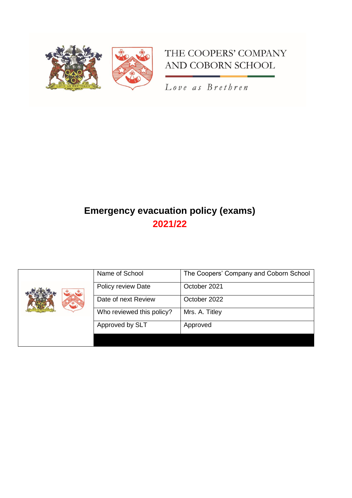

# THE COOPERS' COMPANY AND COBORN SCHOOL

Love as Brethren

# **Emergency evacuation policy (exams) 2021/22**

|  | Name of School            | The Coopers' Company and Coborn School |
|--|---------------------------|----------------------------------------|
|  | Policy review Date        | October 2021                           |
|  | Date of next Review       | October 2022                           |
|  | Who reviewed this policy? | Mrs. A. Titley                         |
|  | Approved by SLT           | Approved                               |
|  |                           |                                        |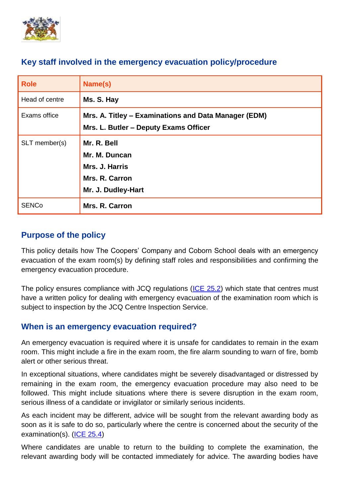

## **Key staff involved in the emergency evacuation policy/procedure**

| <b>Role</b>    | Name(s)                                                                                       |
|----------------|-----------------------------------------------------------------------------------------------|
| Head of centre | Ms. S. Hay                                                                                    |
| Exams office   | Mrs. A. Titley - Examinations and Data Manager (EDM)<br>Mrs. L. Butler - Deputy Exams Officer |
| SLT member(s)  | Mr. R. Bell<br>Mr. M. Duncan<br>Mrs. J. Harris<br>Mrs. R. Carron<br>Mr. J. Dudley-Hart        |
| <b>SENCo</b>   | Mrs. R. Carron                                                                                |

# **Purpose of the policy**

This policy details how The Coopers' Company and Coborn School deals with an emergency evacuation of the exam room(s) by defining staff roles and responsibilities and confirming the emergency evacuation procedure.

The policy ensures compliance with JCQ regulations [\(ICE 25.2\)](https://www.jcq.org.uk/wp-content/uploads/2022/01/ICE_21-22_FINAL.pdf) which state that centres must have a written policy for dealing with emergency evacuation of the examination room which is subject to inspection by the JCQ Centre Inspection Service.

## **When is an emergency evacuation required?**

An emergency evacuation is required where it is unsafe for candidates to remain in the exam room. This might include a fire in the exam room, the fire alarm sounding to warn of fire, bomb alert or other serious threat.

In exceptional situations, where candidates might be severely disadvantaged or distressed by remaining in the exam room, the emergency evacuation procedure may also need to be followed. This might include situations where there is severe disruption in the exam room, serious illness of a candidate or invigilator or similarly serious incidents.

As each incident may be different, advice will be sought from the relevant awarding body as soon as it is safe to do so, particularly where the centre is concerned about the security of the examination(s). [\(ICE 25.4\)](https://www.jcq.org.uk/wp-content/uploads/2022/01/ICE_21-22_FINAL.pdf)

Where candidates are unable to return to the building to complete the examination, the relevant awarding body will be contacted immediately for advice. The awarding bodies have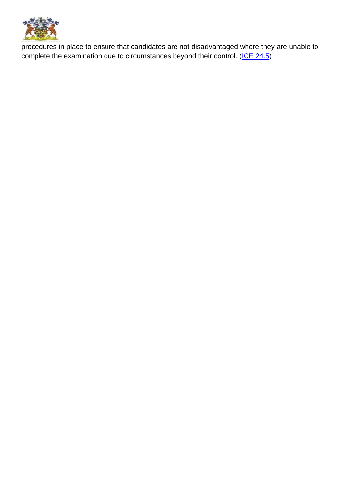

procedures in place to ensure that candidates are not disadvantaged where they are unable to complete the examination due to circumstances beyond their control. [\(ICE 24.5\)](https://www.jcq.org.uk/wp-content/uploads/2022/01/ICE_21-22_FINAL.pdf)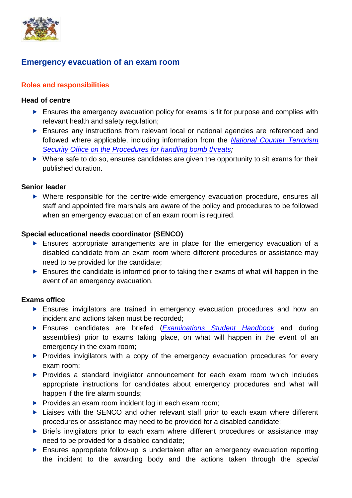

# **Emergency evacuation of an exam room**

## **Roles and responsibilities**

#### **Head of centre**

- Ensures the emergency evacuation policy for exams is fit for purpose and complies with relevant health and safety regulation;
- Ensures any instructions from relevant local or national agencies are referenced and followed where applicable, including information from the *[National Counter Terrorism](https://www.gov.uk/government/publications/bomb-threats-guidance)  [Security Office on the Procedures for handling bomb threats;](https://www.gov.uk/government/publications/bomb-threats-guidance)*
- $\triangleright$  Where safe to do so, ensures candidates are given the opportunity to sit exams for their published duration.

#### **Senior leader**

 Where responsible for the centre-wide emergency evacuation procedure, ensures all staff and appointed fire marshals are aware of the policy and procedures to be followed when an emergency evacuation of an exam room is required.

#### **Special educational needs coordinator (SENCO)**

- Ensures appropriate arrangements are in place for the emergency evacuation of a disabled candidate from an exam room where different procedures or assistance may need to be provided for the candidate;
- **Ensures the candidate is informed prior to taking their exams of what will happen in the** event of an emergency evacuation.

## **Exams office**

- Ensures invigilators are trained in emergency evacuation procedures and how an incident and actions taken must be recorded;
- Ensures candidates are briefed (*[Examinations Student Handbook](ttps://www.cooperscoborn.org.uk/wp-content/uploads/2021/11/Student-Examination-handbook.pdf)* and during assemblies) prior to exams taking place, on what will happen in the event of an emergency in the exam room;
- $\blacktriangleright$  Provides invigilators with a copy of the emergency evacuation procedures for every exam room;
- **Provides a standard invigilator announcement for each exam room which includes** appropriate instructions for candidates about emergency procedures and what will happen if the fire alarm sounds;
- $\triangleright$  Provides an exam room incident log in each exam room;
- ▶ Liaises with the SENCO and other relevant staff prior to each exam where different procedures or assistance may need to be provided for a disabled candidate;
- **Briefs invigilators prior to each exam where different procedures or assistance may** need to be provided for a disabled candidate;
- Ensures appropriate follow-up is undertaken after an emergency evacuation reporting the incident to the awarding body and the actions taken through the *special*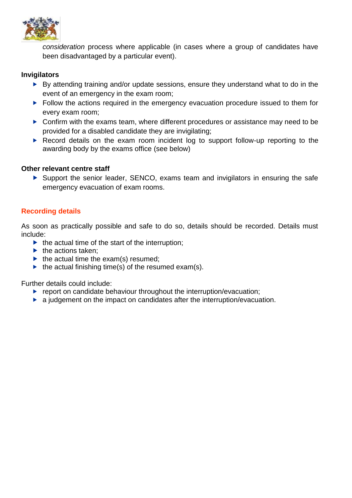

*consideration* process where applicable (in cases where a group of candidates have been disadvantaged by a particular event).

#### **Invigilators**

- By attending training and/or update sessions, ensure they understand what to do in the event of an emergency in the exam room;
- Follow the actions required in the emergency evacuation procedure issued to them for every exam room;
- ▶ Confirm with the exams team, where different procedures or assistance may need to be provided for a disabled candidate they are invigilating;
- ▶ Record details on the exam room incident log to support follow-up reporting to the awarding body by the exams office (see below)

#### **Other relevant centre staff**

 Support the senior leader, SENCO, exams team and invigilators in ensuring the safe emergency evacuation of exam rooms.

#### **Recording details**

As soon as practically possible and safe to do so, details should be recorded. Details must include:

- $\blacktriangleright$  the actual time of the start of the interruption;
- $\blacktriangleright$  the actions taken:
- $\blacktriangleright$  the actual time the exam(s) resumed:
- $\blacktriangleright$  the actual finishing time(s) of the resumed exam(s).

Further details could include:

- $\blacktriangleright$  report on candidate behaviour throughout the interruption/evacuation;
- $\blacktriangleright$  a judgement on the impact on candidates after the interruption/evacuation.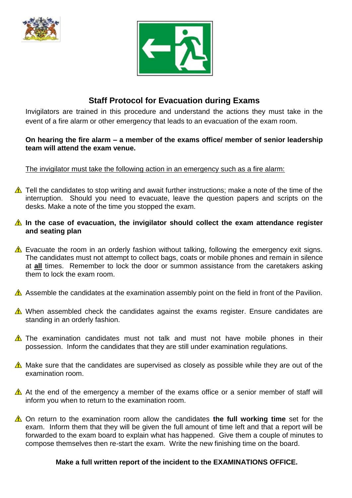



# **Staff Protocol for Evacuation during Exams**

Invigilators are trained in this procedure and understand the actions they must take in the event of a fire alarm or other emergency that leads to an evacuation of the exam room.

### **On hearing the fire alarm – a member of the exams office/ member of senior leadership team will attend the exam venue.**

## The invigilator must take the following action in an emergency such as a fire alarm:

 $\triangle$  Tell the candidates to stop writing and await further instructions; make a note of the time of the interruption. Should you need to evacuate, leave the question papers and scripts on the desks. Make a note of the time you stopped the exam.

## **A** In the case of evacuation, the invigilator should collect the exam attendance register **and seating plan**

- $\triangle$  Evacuate the room in an orderly fashion without talking, following the emergency exit signs. The candidates must not attempt to collect bags, coats or mobile phones and remain in silence at **all** times. Remember to lock the door or summon assistance from the caretakers asking them to lock the exam room.
- Assemble the candidates at the examination assembly point on the field in front of the Pavilion.
- $\triangle$  When assembled check the candidates against the exams register. Ensure candidates are standing in an orderly fashion.
- $\triangle$  The examination candidates must not talk and must not have mobile phones in their possession. Inform the candidates that they are still under examination regulations.
- $\triangle$  Make sure that the candidates are supervised as closely as possible while they are out of the examination room.
- $\triangle$  At the end of the emergency a member of the exams office or a senior member of staff will inform you when to return to the examination room.
- On return to the examination room allow the candidates **the full working time** set for the exam. Inform them that they will be given the full amount of time left and that a report will be forwarded to the exam board to explain what has happened. Give them a couple of minutes to compose themselves then re-start the exam. Write the new finishing time on the board.

## **Make a full written report of the incident to the EXAMINATIONS OFFICE.**